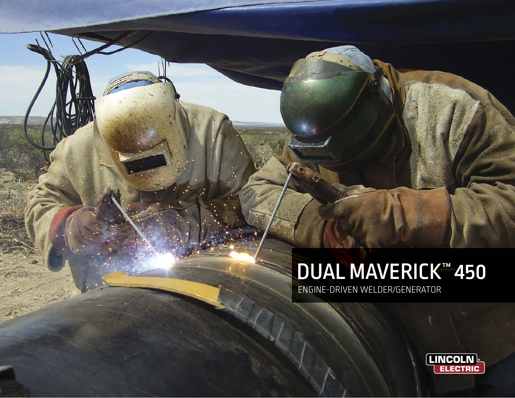## DUAL MAVERICK™ 450 ENGINE-DRIVEN WELDER/GENERATOR

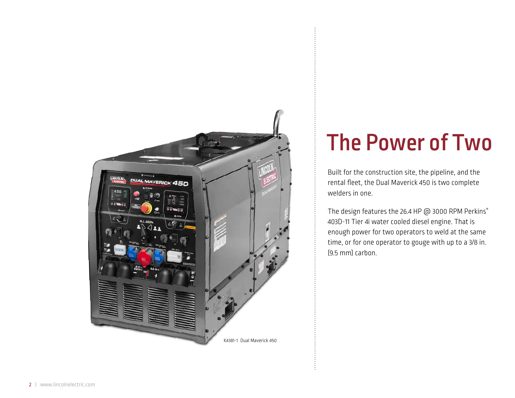

# The Power of Two

Built for the construction site, the pipeline, and the rental fleet, the Dual Maverick 450 is two complete welders in one.

The design features the 26.4 HP @ 3000 RPM Perkins® 403D-11 Tier 4i water cooled diesel engine. That is enough power for two operators to weld at the same time, or for one operator to gouge with up to a 3/8 in. (9.5 mm) carbon.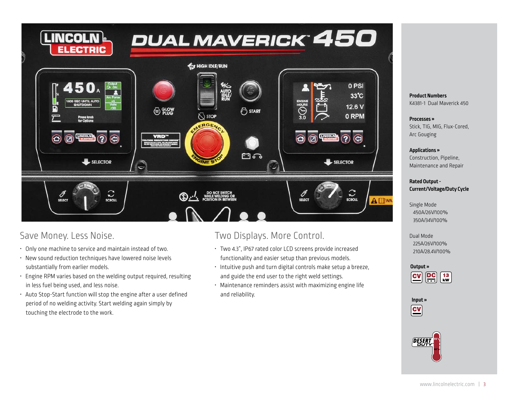

### Save Money. Less Noise.

- Only one machine to service and maintain instead of two.
- New sound reduction techniques have lowered noise levels substantially from earlier models.
- Engine RPM varies based on the welding output required, resulting in less fuel being used, and less noise.
- Auto Stop-Start function will stop the engine after a user defined period of no welding activity. Start welding again simply by touching the electrode to the work.

### Two Displays. More Control.

- Two 4.3", IP67 rated color LCD screens provide increased functionality and easier setup than previous models.
- Intuitive push and turn digital controls make setup a breeze, and guide the end user to the right weld settings.
- Maintenance reminders assist with maximizing engine life and reliability.

### **Product Numbers** K4381-1 Dual Maverick 450

**Processes »** Stick, TIG, MIG, Flux-Cored, Arc Gouging

### **Applications »**

Construction, Pipeline, Maintenance and Repair

### **Rated Output - Current/Voltage/Duty Cycle**

Single Mode 450A/26V/100% 350A/34V/100%

Dual Mode 225A/26V/100% 210A/28.4V/100%





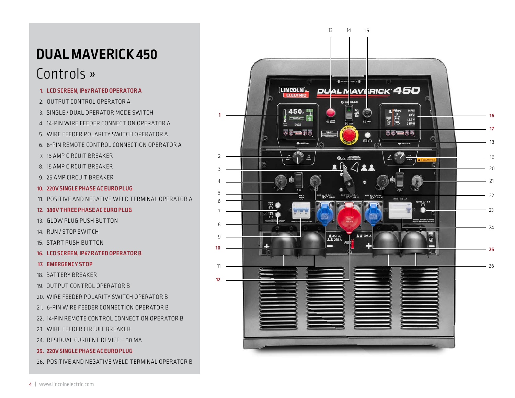## **DUAL MAVERICK 450**

## Controls »

- **1. LCD SCREEN, IP67 RATED OPERATOR A**
- 2. OUTPUT CONTROL OPERATOR A
- 3. SINGLE / DUAL OPERATOR MODE SWITCH
- 4. 14-PIN WIRE FEEDER CONNECTION OPERATOR A
- 5. WIRE FEEDER POLARITY SWITCH OPERATOR A
- 6. 6-PIN REMOTE CONTROL CONNECTION OPERATOR A
- 7. 15 AMP CIRCUIT BREAKER
- 8. 15 AMP CIRCUIT BREAKER
- 9. 25 AMP CIRCUIT BREAKER
- **10. 220V SINGLE PHASE AC EURO PLUG**
- 11. POSITIVE AND NEGATIVE WELD TERMINAL OPERATOR A

### **12. 380V THREE PHASE AC EURO PLUG**

- 13. GLOW PLUG PUSH BUTTON
- 14. RUN / STOP SWITCH
- 15. START PUSH BUTTON
- **16. LCD SCREEN, IP67 RATED OPERATOR B**
- **17. EMERGENCY STOP**
- 18. BATTERY BREAKER
- 19. OUTPUT CONTROL OPERATOR B
- 20. WIRE FEEDER POLARITY SWITCH OPERATOR B
- 21. 6-PIN WIRE FEEDER CONNECTION OPERATOR B
- 22. 14-PIN REMOTE CONTROL CONNECTION OPERATOR B
- 23. WIRE FEEDER CIRCUIT BREAKER
- 24. RESIDUAL CURRENT DEVICE 30 MA
- **25. 220V SINGLE PHASE AC EURO PLUG**
- 26. POSITIVE AND NEGATIVE WELD TERMINAL OPERATOR B

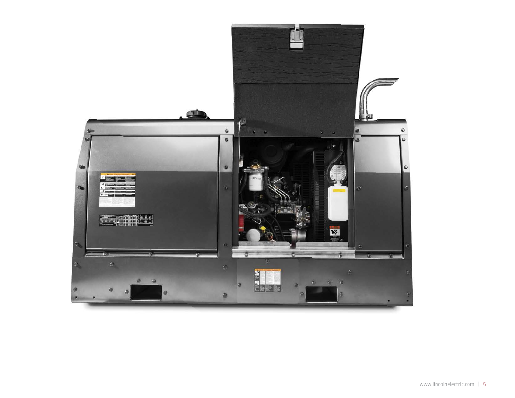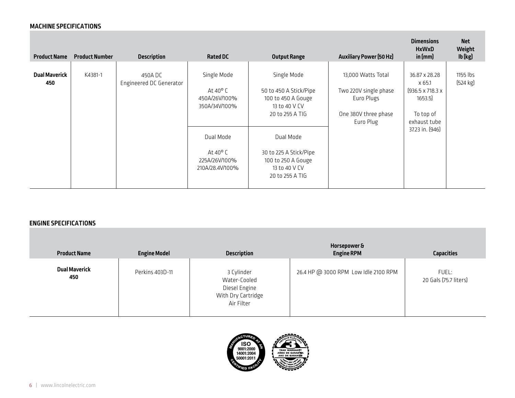### **MACHINE SPECIFICATIONS**

| <b>Product Name</b>         | <b>Product Number</b> | <b>Description</b>                 | <b>Rated DC</b>                                                     | <b>Output Range</b>                                                                             | <b>Auxiliary Power (50 Hz)</b>                                                                 | <b>Dimensions</b><br><b>HxWxD</b><br>in [mm]                                                                      | <b>Net</b><br>Weight<br>$Ib$ $(kg)$ |
|-----------------------------|-----------------------|------------------------------------|---------------------------------------------------------------------|-------------------------------------------------------------------------------------------------|------------------------------------------------------------------------------------------------|-------------------------------------------------------------------------------------------------------------------|-------------------------------------|
| <b>Dual Maverick</b><br>450 | K4381-1               | 450A DC<br>Engineered DC Generator | Single Mode<br>At 40 $^{\circ}$ C<br>450A/26V/100%<br>350A/34V/100% | Single Mode<br>50 to 450 A Stick/Pipe<br>100 to 450 A Gouge<br>13 to 40 V CV<br>20 to 255 A TIG | 13,000 Watts Total<br>Two 220V single phase<br>Euro Plugs<br>One 380V three phase<br>Euro Plug | 36.87 x 28.28<br>x 65.1<br>$[936.5 \times 718.3 \times$<br>1653.5<br>To top of<br>exhaust tube<br>37.23 in. [946] | 1155 lbs<br>$[524 \text{ kg}]$      |
|                             |                       |                                    | Dual Mode<br>At 40 $^{\circ}$ C<br>225A/26V/100%<br>210A/28.4V/100% | Dual Mode<br>30 to 225 A Stick/Pipe<br>100 to 250 A Gouge<br>13 to 40 V CV<br>20 to 255 A TIG   |                                                                                                |                                                                                                                   |                                     |

### **ENGINE SPECIFICATIONS**

| <b>Product Name</b>         | <b>Engine Model</b> | <b>Description</b>                                                              | Horsepower &<br><b>Engine RPM</b>    | <b>Capacities</b>              |
|-----------------------------|---------------------|---------------------------------------------------------------------------------|--------------------------------------|--------------------------------|
| <b>Dual Maverick</b><br>450 | Perkins 403D-11     | 3 Cylinder<br>Water-Cooled<br>Diesel Engine<br>With Dry Cartridge<br>Air Filter | 26.4 HP @ 3000 RPM Low Idle 2100 RPM | FUEL:<br>20 Gals (75.7 liters) |

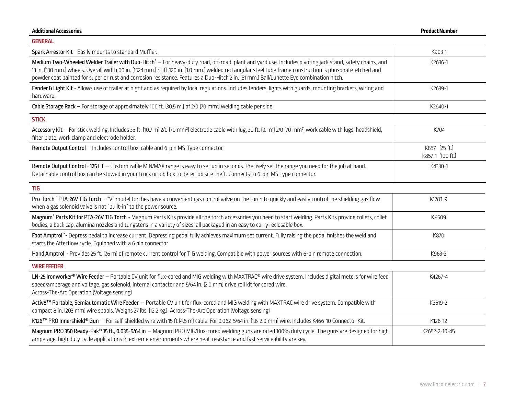### **Additional Accessories Product Number**

| <b>GENERAL</b>                                                                                                                                                                                                                                                                                                                                                                                                                                                              |                                   |
|-----------------------------------------------------------------------------------------------------------------------------------------------------------------------------------------------------------------------------------------------------------------------------------------------------------------------------------------------------------------------------------------------------------------------------------------------------------------------------|-----------------------------------|
| Spark Arrestor Kit - Easily mounts to standard Muffler.                                                                                                                                                                                                                                                                                                                                                                                                                     | K903-1                            |
| Medium Two-Wheeled Welder Trailer with Duo-Hitch <sup>®</sup> - For heavy-duty road, off-road, plant and yard use. Includes pivoting jack stand, safety chains, and<br>13 in. [330 mm.] wheels. Overall width 60 in. [1524 mm.] Stiff 120 in. [3.0 mm.] welded rectangular steel tube frame construction is phosphate-etched and<br>powder coat painted for superior rust and corrosion resistance. Features a Duo-Hitch 2 in. [51 mm.] Ball/Lunette Eye combination hitch. | K2636-1                           |
| Fender & Light Kit - Allows use of trailer at night and as required by local regulations. Includes fenders, lights with guards, mounting brackets, wiring and<br>hardware.                                                                                                                                                                                                                                                                                                  | K2639-1                           |
| Cable Storage Rack - For storage of approximately 100 ft. [30.5 m.] of 2/0 [70 mm <sup>2</sup> ] welding cable per side.                                                                                                                                                                                                                                                                                                                                                    | K2640-1                           |
| <b>STICK</b>                                                                                                                                                                                                                                                                                                                                                                                                                                                                |                                   |
| Accessory Kit - For stick welding. Includes 35 ft. (10.7 m) 2/0 (70 mm <sup>2</sup> ) electrode cable with lug, 30 ft. (9.1 m) 2/0 (70 mm <sup>2</sup> ) work cable with lugs, headshield,<br>filter plate, work clamp and electrode holder.                                                                                                                                                                                                                                | K704                              |
| Remote Output Control - Includes control box, cable and 6-pin MS-Type connector.                                                                                                                                                                                                                                                                                                                                                                                            | K857 (25 ft.)<br>K857-1 (100 ft.) |
| Remote Output Control - 125 FT - Customizable MIN/MAX range is easy to set up in seconds. Precisely set the range you need for the job at hand.<br>Detachable control box can be stowed in your truck or job box to deter job site theft. Connects to 6-pin MS-type connector.                                                                                                                                                                                              | K4330-1                           |
| <b>TIG</b>                                                                                                                                                                                                                                                                                                                                                                                                                                                                  |                                   |
| Pro-Torch™ PTA-26V TIG Torch - "V" model torches have a convenient gas control valve on the torch to quickly and easily control the shielding gas flow<br>when a gas solenoid valve is not "built-in" to the power source.                                                                                                                                                                                                                                                  | K1783-9                           |
| Magnum® Parts Kit for PTA-26V TIG Torch - Magnum Parts Kits provide all the torch accessories you need to start welding. Parts Kits provide collets, collet<br>bodies, a back cap, alumina nozzles and tungstens in a variety of sizes, all packaged in an easy to carry reclosable box.                                                                                                                                                                                    | KP509                             |
| Foot Amptrol <sup>"*</sup> - Depress pedal to increase current. Depressing pedal fully achieves maximum set current. Fully raising the pedal finishes the weld and<br>starts the Afterflow cycle. Equipped with a 6 pin connector                                                                                                                                                                                                                                           | K870                              |
| Hand Amptrol - Provides 25 ft. (76 m) of remote current control for TIG welding. Compatible with power sources with 6-pin remote connection.                                                                                                                                                                                                                                                                                                                                | K963-3                            |
| <b>WIRE FEEDER</b>                                                                                                                                                                                                                                                                                                                                                                                                                                                          |                                   |
| LN-25 Ironworker® Wire Feeder - Portable CV unit for flux-cored and MIG welding with MAXTRAC® wire drive system. Includes digital meters for wire feed<br>speed/amperage and voltage, gas solenoid, internal contactor and 5/64 in. [2.0 mm] drive roll kit for cored wire.<br>Across-The-Arc Operation (Voltage sensing)                                                                                                                                                   | K4267-4                           |
| Activ8™ Portable, Semiautomatic Wire Feeder - Portable CV unit for flux-cored and MIG welding with MAXTRAC wire drive system. Compatible with<br>compact 8 in. (203 mm) wire spools. Weighs 27 lbs. (12.2 kg.) Across-The-Arc Operation (Voltage sensing)                                                                                                                                                                                                                   | K3519-2                           |
| K126 <sup>™</sup> PRO Innershield® Gun - For self-shielded wire with 15 ft (4.5 m) cable. For 0.062-5/64 in. (1.6-2.0 mm) wire. Includes K466-10 Connector Kit.                                                                                                                                                                                                                                                                                                             | K126-12                           |
| Magnum PRO 350 Ready-Pak® 15 ft., 0.035-5/64 in - Magnum PRO MIG/flux-cored welding guns are rated 100% duty cycle. The guns are designed for high<br>amperage, high duty cycle applications in extreme environments where heat-resistance and fast serviceability are key.                                                                                                                                                                                                 | K2652-2-10-45                     |